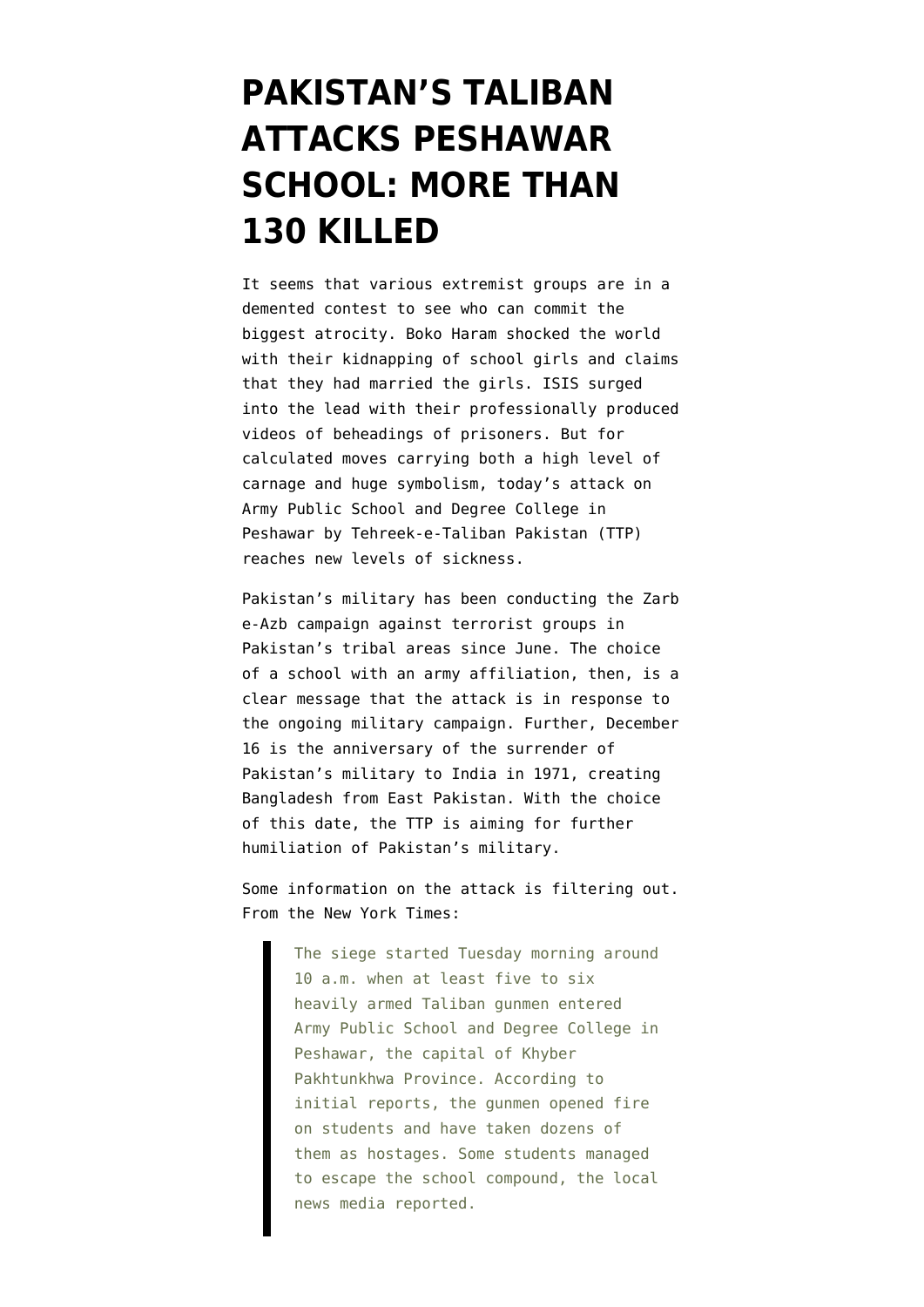## **[PAKISTAN'S TALIBAN](https://www.emptywheel.net/2014/12/16/pakistans-taliban-attacks-peshawar-school-more-than-130-killed/) [ATTACKS PESHAWAR](https://www.emptywheel.net/2014/12/16/pakistans-taliban-attacks-peshawar-school-more-than-130-killed/) [SCHOOL: MORE THAN](https://www.emptywheel.net/2014/12/16/pakistans-taliban-attacks-peshawar-school-more-than-130-killed/) [130 KILLED](https://www.emptywheel.net/2014/12/16/pakistans-taliban-attacks-peshawar-school-more-than-130-killed/)**

It seems that various extremist groups are in a demented contest to see who can commit the biggest atrocity. Boko Haram shocked the world with their kidnapping of school girls and claims that they had married the girls. ISIS surged into the lead with their professionally produced videos of beheadings of prisoners. But for calculated moves carrying both a high level of carnage and huge symbolism, today's attack on Army Public School and Degree College in Peshawar [by Tehreek-e-Taliban Pakistan \(TTP\)](http://tribune.com.pk/story/807574/ttp-claim-responsibility-for-peshawar-school-attack/) reaches new levels of sickness.

Pakistan's military has been conducting the [Zarb](https://www.emptywheel.net/tag/zarb-e-azb/) [e-Azb campaign against terrorist groups](https://www.emptywheel.net/tag/zarb-e-azb/) in Pakistan's tribal areas since June. The choice of a school with an army affiliation, then, is a clear message that the attack is in response to the ongoing military campaign. Further, December 16 is the [anniversary of the surrender of](http://www.bbc.com/news/world-asia-16111843) [Pakistan's military to India in 1971](http://www.bbc.com/news/world-asia-16111843), creating Bangladesh from East Pakistan. With the choice of this date, the TTP is aiming for further humiliation of Pakistan's military.

Some information on the attack is filtering out. From the [New York Time](http://www.nytimes.com/2014/12/17/world/asia/taliban-attack-pakistani-school.html)s:

> The siege started Tuesday morning around 10 a.m. when at least five to six heavily armed Taliban gunmen entered Army Public School and Degree College in Peshawar, the capital of Khyber Pakhtunkhwa Province. According to initial reports, the gunmen opened fire on students and have taken dozens of them as hostages. Some students managed to escape the school compound, the local news media reported.